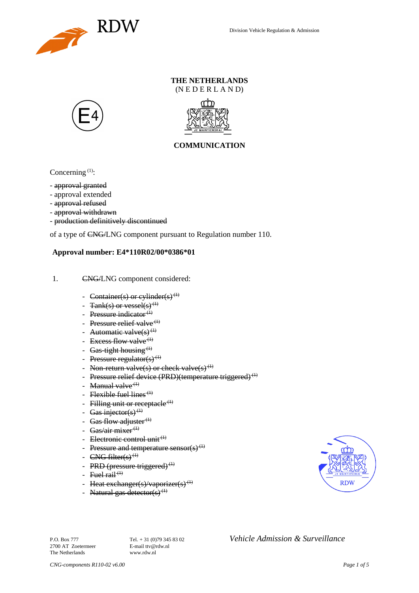

### **THE NETHERLANDS** (N E D E R L A N D)





## **COMMUNICATION**

Concerning  $(1)$ :

- approval granted
- approval extended
- approval refused
- approval withdrawn
- production definitively discontinued

of a type of CNG/LNG component pursuant to Regulation number 110.

#### **Approval number: E4\*110R02/00\*0386\*01**

- 1. CNG/LNG component considered:
	- Container(s) or cylinder(s)<sup>(1)</sup>
	- Tank(s) or vessel(s)<sup>(1)</sup>
	- Pressure indicator $(1)$
	- Pressure relief valve<sup> $(1)$ </sup>
	- Automatic valve $(s)$ <sup>(1)</sup>
	- Excess flow valve<sup> $(1)$ </sup>
	- Gas-tight housing<sup> $(1)$ </sup>
	- Pressure regulator(s) $(1)$
	- Non-return valve(s) or check valve(s)<sup>(1)</sup>
	- Pressure relief device (PRD)(temperature triggered)<sup>(1)</sup>
	- Manual valve $<sup>(1)</sup>$ </sup>
	- Flexible fuel lines<sup> $(1)$ </sup>
	- Filling unit or receptacle  $(1)$
	- Gas injector(s)<sup>(1)</sup>
	- Gas flow adjuster $^{(1)}$
	- Gas/air mixer<sup>(1)</sup>
	- Electronic control unit<sup>(1)</sup>
	- Pressure and temperature sensor(s)<sup>(1)</sup>
	- $CNG$  filter(s)<sup>(1)</sup>
	- PRD (pressure triggered) $<sup>(1)</sup>$ </sup>
	- Fuel rail<sup> $(1)$ </sup>
	- Heat exchanger(s)/vaporizer(s)<sup>(1)</sup>
	- Natural gas detector(s)<sup>(1)</sup>



P.O. Box 777<br> **P.O. Box 777** Tel. + 31 (0)79 345 83 02 *Vehicle Admission & Surveillance*<br>
F-mail tty@rdw.nl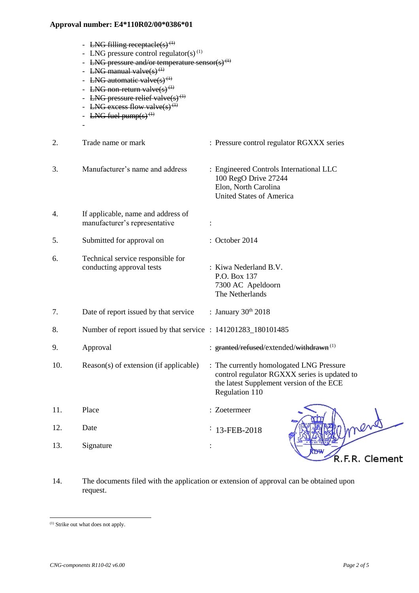- LNG filling receptacle(s)<sup>(1)</sup>
- LNG pressure control regulator(s)<sup>(1)</sup>
- LNG pressure and/or temperature sensor(s)<sup> $(1)$ </sup>
- LNG manual valve $(s)$ <sup>(1)</sup>
- LNG automatic valve $(s)$ <sup>(1)</sup>
- LNG non-return valve $(s)$ <sup>(1)</sup>
- LNG pressure relief valve $(s)$ <sup>(1)</sup>
- LNG excess flow valve(s)<sup>(1)</sup>
- LNG fuel pump $(s)$ <sup> $(1)$ </sup>

-

- 2. Trade name or mark : Pressure control regulator RGXXX series 3. Manufacturer's name and address : Engineered Controls International LLC 100 RegO Drive 27244 Elon, North Carolina United States of America 4. If applicable, name and address of manufacturer's representative : 5. Submitted for approval on : October 2014 6. Technical service responsible for conducting approval tests : Kiwa Nederland B.V. P.O. Box 137 7300 AC Apeldoorn The Netherlands 7. Date of report issued by that service  $\therefore$  January 30<sup>th</sup> 2018 8. Number of report issued by that service : 141201283 180101485 9. Approval : granted/refused/extended/withdrawn<sup>(1)</sup> 10. Reason(s) of extension (if applicable) : The currently homologated LNG Pressure control regulator RGXXX series is updated to the latest Supplement version of the ECE Regulation 110 11. Place : Zoetermeer 12. Date :  $: 13 - FEB - 2018$ 13. Signature : .<br>R.F.R. Clement
- 14. The documents filed with the application or extension of approval can be obtained upon request.

l

<sup>(1)</sup> Strike out what does not apply.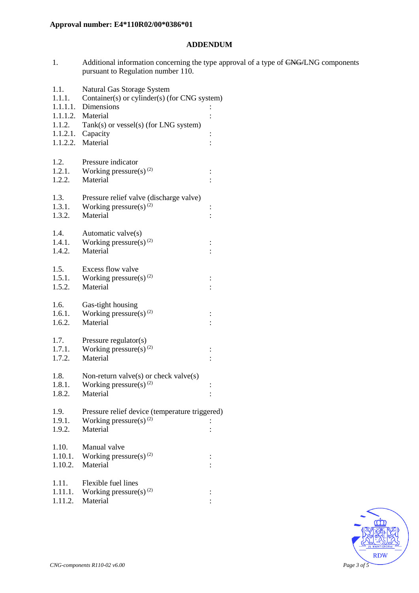## **ADDENDUM**

1. Additional information concerning the type approval of a type of CNG/LNG components pursuant to Regulation number 110.

| 1.1.<br>1.1.1.   | Natural Gas Storage System<br>Container(s) or cylinder(s) (for CNG system) |                |  |
|------------------|----------------------------------------------------------------------------|----------------|--|
|                  | 1.1.1.1. Dimensions                                                        |                |  |
|                  | 1.1.1.2. Material                                                          |                |  |
| 1.1.2.           | Tank(s) or vessel(s) (for LNG system)                                      |                |  |
|                  | $1.1.2.1.$ Capacity                                                        | $\vdots$       |  |
|                  | 1.1.2.2. Material                                                          |                |  |
| 1.2.             | Pressure indicator                                                         |                |  |
| 1.2.1.           | Working pressure(s) $(2)$                                                  |                |  |
| 1.2.2.           | Material                                                                   | $\vdots$       |  |
|                  |                                                                            |                |  |
| 1.3.             | Pressure relief valve (discharge valve)                                    |                |  |
| 1.3.1.           | Working pressure(s) $^{(2)}$                                               | $\vdots$       |  |
| 1.3.2.           | Material                                                                   |                |  |
| 1.4.             | Automatic valve(s)                                                         |                |  |
| 1.4.1.           | Working pressure(s) $^{(2)}$                                               | $\vdots$       |  |
| 1.4.2.           | Material                                                                   |                |  |
|                  |                                                                            |                |  |
| 1.5.             | Excess flow valve                                                          |                |  |
| 1.5.1.<br>1.5.2. | Working pressure(s) $^{(2)}$<br>Material                                   | $\ddot{\cdot}$ |  |
|                  |                                                                            |                |  |
| 1.6.             | Gas-tight housing                                                          |                |  |
| 1.6.1.           | Working pressure(s) $(2)$                                                  |                |  |
| 1.6.2.           | Material                                                                   |                |  |
| 1.7.             | Pressure regulator(s)                                                      |                |  |
| 1.7.1.           | Working pressure(s) <sup>(2)</sup>                                         | $\vdots$       |  |
| 1.7.2.           | Material                                                                   |                |  |
|                  |                                                                            |                |  |
| 1.8.             | Non-return valve $(s)$ or check valve $(s)$                                |                |  |
| 1.8.1.           | Working pressure(s) $^{(2)}$                                               | $\vdots$       |  |
| 1.8.2.           | Material                                                                   | $\vdots$       |  |
| 1.9.             | Pressure relief device (temperature triggered)                             |                |  |
| 1.9.1.           | Working pressure(s) $(2)$                                                  |                |  |
| 1.9.2.           | Material                                                                   |                |  |
|                  |                                                                            |                |  |
| 1.10.<br>1.10.1. | Manual valve<br>Working pressure(s) $^{(2)}$                               |                |  |
| 1.10.2.          | Material                                                                   | $\ddot{\cdot}$ |  |
|                  |                                                                            |                |  |
| 1.11.            | Flexible fuel lines                                                        |                |  |
| 1.11.1.          | Working pressure(s) $(2)$                                                  | $\ddot{\cdot}$ |  |
| 1.11.2.          | Material                                                                   |                |  |
|                  |                                                                            |                |  |

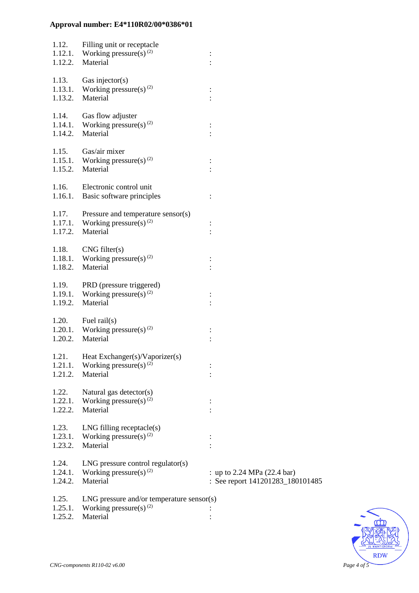|                             | 1.12. Filling unit or receptacle<br>1.12.1. Working pressure(s) <sup>(2)</sup><br>1.12.2. Material         |                                                                 |
|-----------------------------|------------------------------------------------------------------------------------------------------------|-----------------------------------------------------------------|
| 1.13.<br>1.13.2.            | Gas injector(s)<br>1.13.1. Working pressure(s) <sup>(2)</sup><br>Material                                  | $\ddot{\cdot}$                                                  |
| 1.14.                       | Gas flow adjuster<br>1.14.1. Working pressure(s) <sup>(2)</sup><br>1.14.2. Material                        | $\ddot{\cdot}$                                                  |
| 1.15.                       | Gas/air mixer<br>1.15.1. Working pressure(s) <sup>(2)</sup><br>1.15.2. Material                            | :                                                               |
|                             | 1.16. Electronic control unit<br>1.16.1. Basic software principles                                         | $\ddot{\cdot}$                                                  |
|                             | 1.17. Pressure and temperature sensor(s)<br>1.17.1. Working pressure(s) <sup>(2)</sup><br>1.17.2. Material |                                                                 |
| 1.18.2.                     | $1.18.$ CNG filter(s)<br>1.18.1. Working pressure(s) <sup>(2)</sup><br>Material                            |                                                                 |
| 1.19.<br>1.19.2.            | PRD (pressure triggered)<br>1.19.1. Working pressure(s) <sup>(2)</sup><br>Material                         | $\ddot{\cdot}$                                                  |
| 1.20.2.                     | $1.20.$ Fuel rail(s)<br>1.20.1. Working pressure(s) <sup>(2)</sup><br>Material                             |                                                                 |
| 1.21.<br>1.21.1.<br>1.21.2. | Heat Exchanger(s)/Vaporizer(s)<br>Working pressure(s) $^{(2)}$<br>Material                                 |                                                                 |
| 1.22.<br>1.22.1.<br>1.22.2. | Natural gas detector(s)<br>Working pressure(s) <sup>(2)</sup><br>Material                                  |                                                                 |
| 1.23.<br>1.23.1.<br>1.23.2. | $LNG$ filling receptacle $(s)$<br>Working pressure(s) <sup>(2)</sup><br>Material                           |                                                                 |
| 1.24.<br>1.24.1.<br>1.24.2. | $LNG$ pressure control regulator(s)<br>Working pressure(s) $(2)$<br>Material                               | : up to 2.24 MPa (22.4 bar)<br>: See report 141201283_180101485 |
| 1.25.<br>1.25.1.<br>1.25.2. | $LNG$ pressure and/or temperature sensor(s)<br>Working pressure(s) <sup>(2)</sup><br>Material              |                                                                 |